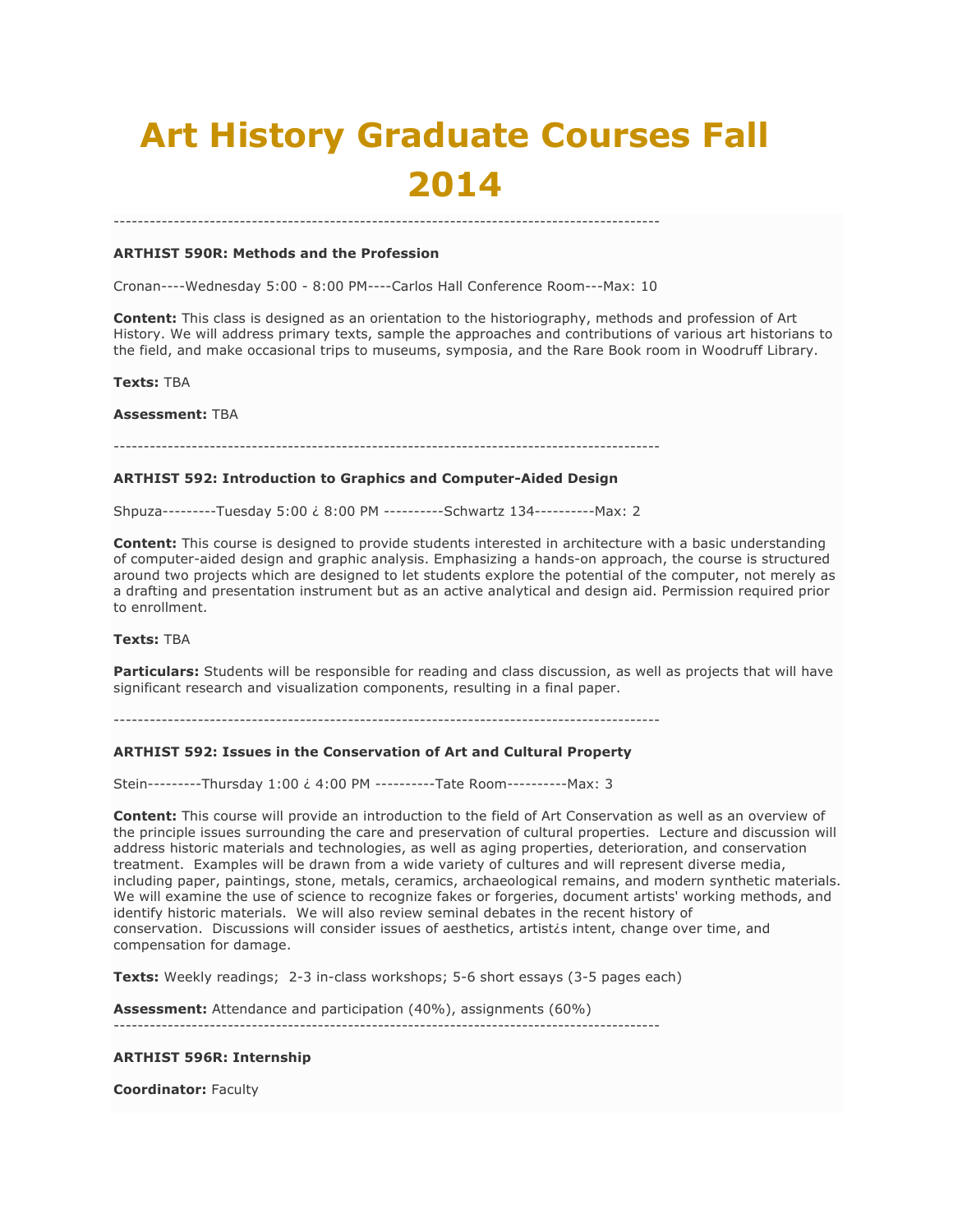# **Art History Graduate Courses Fall 2014**

#### **ARTHIST 590R: Methods and the Profession**

Cronan----Wednesday 5:00 - 8:00 PM----Carlos Hall Conference Room---Max: 10

-------------------------------------------------------------------------------------------

**Content:** This class is designed as an orientation to the historiography, methods and profession of Art History. We will address primary texts, sample the approaches and contributions of various art historians to the field, and make occasional trips to museums, symposia, and the Rare Book room in Woodruff Library.

#### **Texts:** TBA

**Assessment:** TBA

-------------------------------------------------------------------------------------------

# **ARTHIST 592: Introduction to Graphics and Computer-Aided Design**

Shpuza---------Tuesday 5:00 ¿ 8:00 PM ----------Schwartz 134----------Max: 2

**Content:** This course is designed to provide students interested in architecture with a basic understanding of computer-aided design and graphic analysis. Emphasizing a hands-on approach, the course is structured around two projects which are designed to let students explore the potential of the computer, not merely as a drafting and presentation instrument but as an active analytical and design aid. Permission required prior to enrollment.

## **Texts:** TBA

**Particulars:** Students will be responsible for reading and class discussion, as well as projects that will have significant research and visualization components, resulting in a final paper.

-------------------------------------------------------------------------------------------

#### **ARTHIST 592: Issues in the Conservation of Art and Cultural Property**

Stein---------Thursday 1:00 ¿ 4:00 PM ----------Tate Room----------Max: 3

**Content:** This course will provide an introduction to the field of Art Conservation as well as an overview of the principle issues surrounding the care and preservation of cultural properties. Lecture and discussion will address historic materials and technologies, as well as aging properties, deterioration, and conservation treatment. Examples will be drawn from a wide variety of cultures and will represent diverse media, including paper, paintings, stone, metals, ceramics, archaeological remains, and modern synthetic materials. We will examine the use of science to recognize fakes or forgeries, document artists' working methods, and identify historic materials. We will also review seminal debates in the recent history of conservation. Discussions will consider issues of aesthetics, artist¿s intent, change over time, and compensation for damage.

**Texts:** Weekly readings; 2-3 in-class workshops; 5-6 short essays (3-5 pages each)

**Assessment:** Attendance and participation (40%), assignments (60%)

#### **ARTHIST 596R: Internship**

-------------------------------------------------------------------------------------------

**Coordinator:** Faculty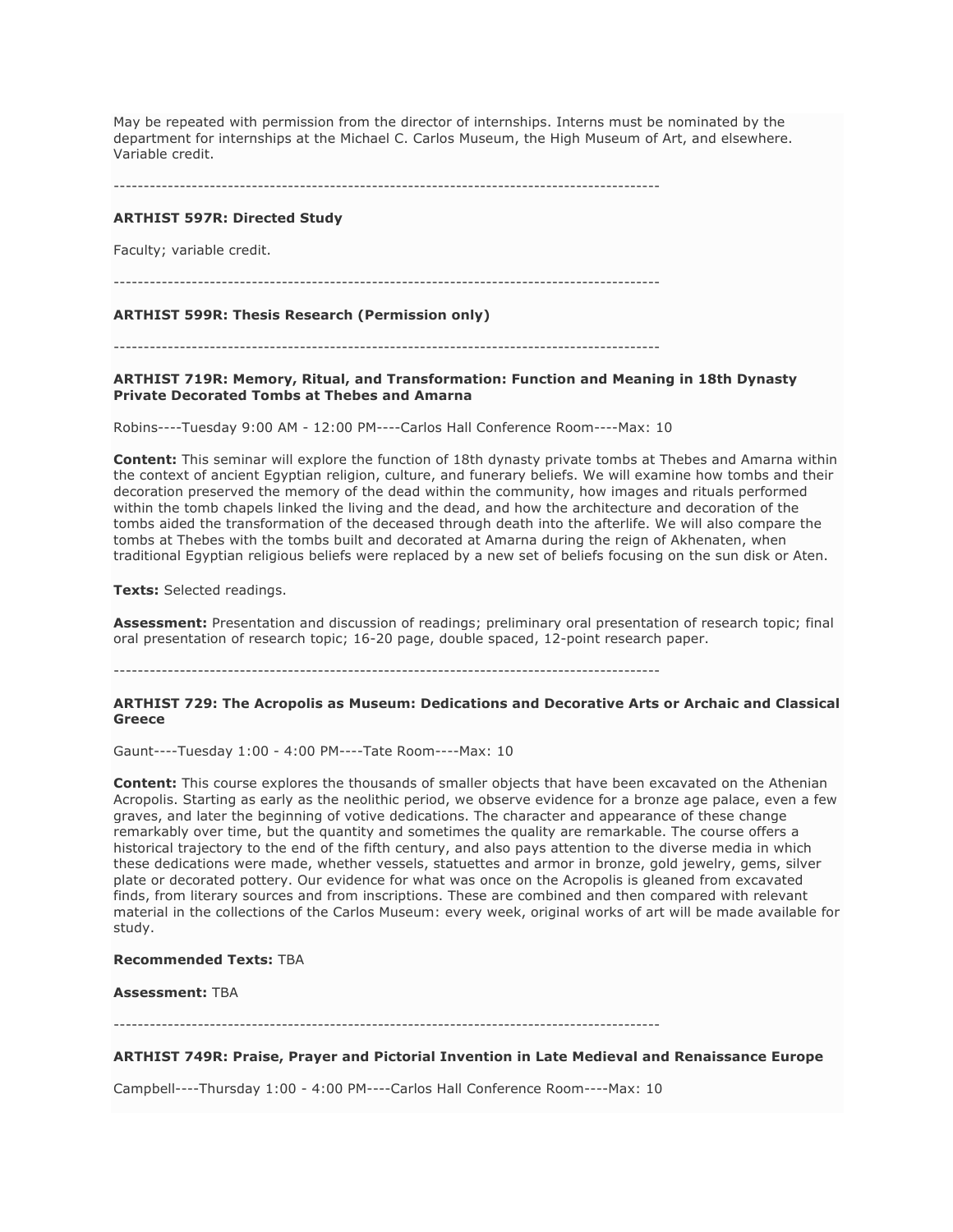May be repeated with permission from the director of internships. Interns must be nominated by the department for internships at the Michael C. Carlos Museum, the High Museum of Art, and elsewhere. Variable credit.

-------------------------------------------------------------------------------------------

#### **ARTHIST 597R: Directed Study**

Faculty; variable credit.

-------------------------------------------------------------------------------------------

#### **ARTHIST 599R: Thesis Research (Permission only)**

-------------------------------------------------------------------------------------------

**ARTHIST 719R: Memory, Ritual, and Transformation: Function and Meaning in 18th Dynasty Private Decorated Tombs at Thebes and Amarna**

Robins----Tuesday 9:00 AM - 12:00 PM----Carlos Hall Conference Room----Max: 10

**Content:** This seminar will explore the function of 18th dynasty private tombs at Thebes and Amarna within the context of ancient Egyptian religion, culture, and funerary beliefs. We will examine how tombs and their decoration preserved the memory of the dead within the community, how images and rituals performed within the tomb chapels linked the living and the dead, and how the architecture and decoration of the tombs aided the transformation of the deceased through death into the afterlife. We will also compare the tombs at Thebes with the tombs built and decorated at Amarna during the reign of Akhenaten, when traditional Egyptian religious beliefs were replaced by a new set of beliefs focusing on the sun disk or Aten.

**Texts:** Selected readings.

**Assessment:** Presentation and discussion of readings; preliminary oral presentation of research topic; final oral presentation of research topic; 16-20 page, double spaced, 12-point research paper.

-------------------------------------------------------------------------------------------

#### **ARTHIST 729: The Acropolis as Museum: Dedications and Decorative Arts or Archaic and Classical Greece**

Gaunt----Tuesday 1:00 - 4:00 PM----Tate Room----Max: 10

**Content:** This course explores the thousands of smaller objects that have been excavated on the Athenian Acropolis. Starting as early as the neolithic period, we observe evidence for a bronze age palace, even a few graves, and later the beginning of votive dedications. The character and appearance of these change remarkably over time, but the quantity and sometimes the quality are remarkable. The course offers a historical trajectory to the end of the fifth century, and also pays attention to the diverse media in which these dedications were made, whether vessels, statuettes and armor in bronze, gold jewelry, gems, silver plate or decorated pottery. Our evidence for what was once on the Acropolis is gleaned from excavated finds, from literary sources and from inscriptions. These are combined and then compared with relevant material in the collections of the Carlos Museum: every week, original works of art will be made available for study.

#### **Recommended Texts:** TBA

**Assessment:** TBA

-------------------------------------------------------------------------------------------

#### **ARTHIST 749R: Praise, Prayer and Pictorial Invention in Late Medieval and Renaissance Europe**

Campbell----Thursday 1:00 - 4:00 PM----Carlos Hall Conference Room----Max: 10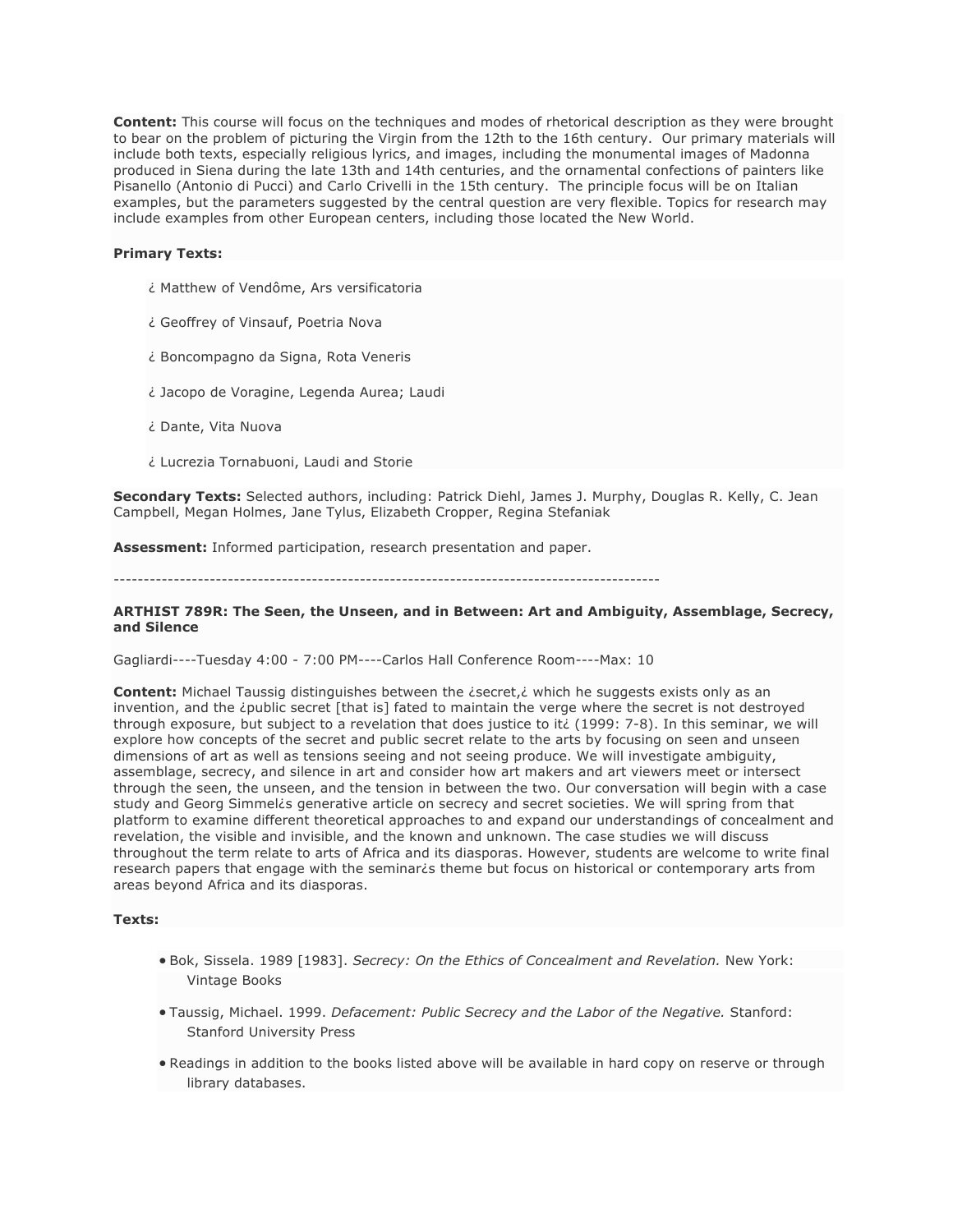**Content:** This course will focus on the techniques and modes of rhetorical description as they were brought to bear on the problem of picturing the Virgin from the 12th to the 16th century. Our primary materials will include both texts, especially religious lyrics, and images, including the monumental images of Madonna produced in Siena during the late 13th and 14th centuries, and the ornamental confections of painters like Pisanello (Antonio di Pucci) and Carlo Crivelli in the 15th century. The principle focus will be on Italian examples, but the parameters suggested by the central question are very flexible. Topics for research may include examples from other European centers, including those located the New World.

## **Primary Texts:**

- ¿ Matthew of Vendôme, Ars versificatoria
- ¿ Geoffrey of Vinsauf, Poetria Nova
- ¿ Boncompagno da Signa, Rota Veneris
- ¿ Jacopo de Voragine, Legenda Aurea; Laudi
- ¿ Dante, Vita Nuova
- ¿ Lucrezia Tornabuoni, Laudi and Storie

**Secondary Texts:** Selected authors, including: Patrick Diehl, James J. Murphy, Douglas R. Kelly, C. Jean Campbell, Megan Holmes, Jane Tylus, Elizabeth Cropper, Regina Stefaniak

**Assessment:** Informed participation, research presentation and paper.

-------------------------------------------------------------------------------------------

#### **ARTHIST 789R: The Seen, the Unseen, and in Between: Art and Ambiguity, Assemblage, Secrecy, and Silence**

Gagliardi----Tuesday 4:00 - 7:00 PM----Carlos Hall Conference Room----Max: 10

Content: Michael Taussig distinguishes between the *isecret,i* which he suggests exists only as an invention, and the ¿public secret [that is] fated to maintain the verge where the secret is not destroyed through exposure, but subject to a revelation that does justice to iti (1999: 7-8). In this seminar, we will explore how concepts of the secret and public secret relate to the arts by focusing on seen and unseen dimensions of art as well as tensions seeing and not seeing produce. We will investigate ambiguity, assemblage, secrecy, and silence in art and consider how art makers and art viewers meet or intersect through the seen, the unseen, and the tension in between the two. Our conversation will begin with a case study and Georg Simmel¿s generative article on secrecy and secret societies. We will spring from that platform to examine different theoretical approaches to and expand our understandings of concealment and revelation, the visible and invisible, and the known and unknown. The case studies we will discuss throughout the term relate to arts of Africa and its diasporas. However, students are welcome to write final research papers that engage with the seminarcs theme but focus on historical or contemporary arts from areas beyond Africa and its diasporas.

#### **Texts:**

- Bok, Sissela. 1989 [1983]. *Secrecy: On the Ethics of Concealment and Revelation.* New York: Vintage Books
- Taussig, Michael. 1999. *Defacement: Public Secrecy and the Labor of the Negative.* Stanford: Stanford University Press
- Readings in addition to the books listed above will be available in hard copy on reserve or through library databases.